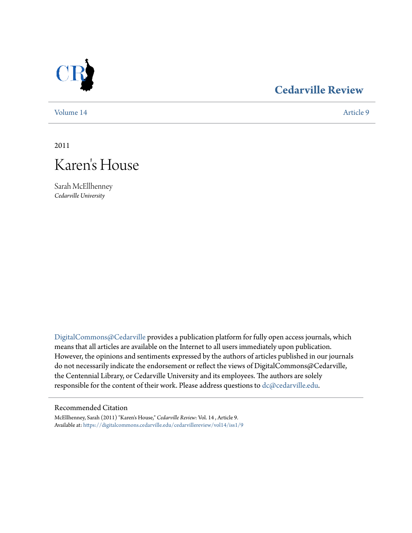

## **[Cedarville Review](https://digitalcommons.cedarville.edu/cedarvillereview?utm_source=digitalcommons.cedarville.edu%2Fcedarvillereview%2Fvol14%2Fiss1%2F9&utm_medium=PDF&utm_campaign=PDFCoverPages)**

[Volume 14](https://digitalcommons.cedarville.edu/cedarvillereview/vol14?utm_source=digitalcommons.cedarville.edu%2Fcedarvillereview%2Fvol14%2Fiss1%2F9&utm_medium=PDF&utm_campaign=PDFCoverPages) [Article 9](https://digitalcommons.cedarville.edu/cedarvillereview/vol14/iss1/9?utm_source=digitalcommons.cedarville.edu%2Fcedarvillereview%2Fvol14%2Fiss1%2F9&utm_medium=PDF&utm_campaign=PDFCoverPages)

2011



Sarah McEllhenney *Cedarville University*

[DigitalCommons@Cedarville](http://digitalcommons.cedarville.edu) provides a publication platform for fully open access journals, which means that all articles are available on the Internet to all users immediately upon publication. However, the opinions and sentiments expressed by the authors of articles published in our journals do not necessarily indicate the endorsement or reflect the views of DigitalCommons@Cedarville, the Centennial Library, or Cedarville University and its employees. The authors are solely responsible for the content of their work. Please address questions to [dc@cedarville.edu](mailto:dc@cedarville.edu).

#### Recommended Citation

McEllhenney, Sarah (2011) "Karen's House," *Cedarville Review*: Vol. 14 , Article 9. Available at: [https://digitalcommons.cedarville.edu/cedarvillereview/vol14/iss1/9](https://digitalcommons.cedarville.edu/cedarvillereview/vol14/iss1/9?utm_source=digitalcommons.cedarville.edu%2Fcedarvillereview%2Fvol14%2Fiss1%2F9&utm_medium=PDF&utm_campaign=PDFCoverPages)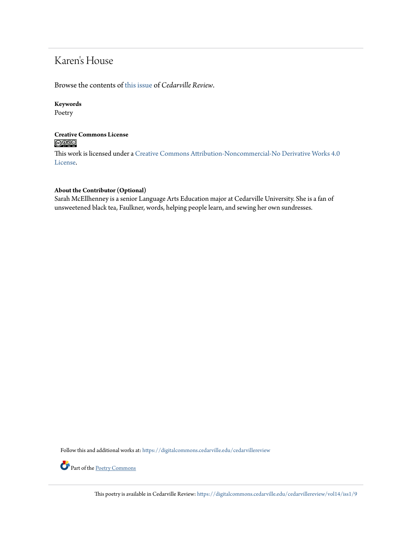# Karen's House

Browse the contents of [this issue](https://digitalcommons.cedarville.edu/cedarvillereview/vol14/iss1) of *Cedarville Review*.

#### **Keywords**

Poetry

#### **Creative Commons License**  $\bigcirc$   $\circ$

This work is licensed under a [Creative Commons Attribution-Noncommercial-No Derivative Works 4.0](http://creativecommons.org/licenses/by-nc-nd/4.0/) [License.](http://creativecommons.org/licenses/by-nc-nd/4.0/)

#### **About the Contributor (Optional)**

Sarah McEllhenney is a senior Language Arts Education major at Cedarville University. She is a fan of unsweetened black tea, Faulkner, words, helping people learn, and sewing her own sundresses.

Follow this and additional works at: [https://digitalcommons.cedarville.edu/cedarvillereview](https://digitalcommons.cedarville.edu/cedarvillereview?utm_source=digitalcommons.cedarville.edu%2Fcedarvillereview%2Fvol14%2Fiss1%2F9&utm_medium=PDF&utm_campaign=PDFCoverPages)



Part of the [Poetry Commons](http://network.bepress.com/hgg/discipline/1153?utm_source=digitalcommons.cedarville.edu%2Fcedarvillereview%2Fvol14%2Fiss1%2F9&utm_medium=PDF&utm_campaign=PDFCoverPages)

This poetry is available in Cedarville Review: [https://digitalcommons.cedarville.edu/cedarvillereview/vol14/iss1/9](https://digitalcommons.cedarville.edu/cedarvillereview/vol14/iss1/9?utm_source=digitalcommons.cedarville.edu%2Fcedarvillereview%2Fvol14%2Fiss1%2F9&utm_medium=PDF&utm_campaign=PDFCoverPages)